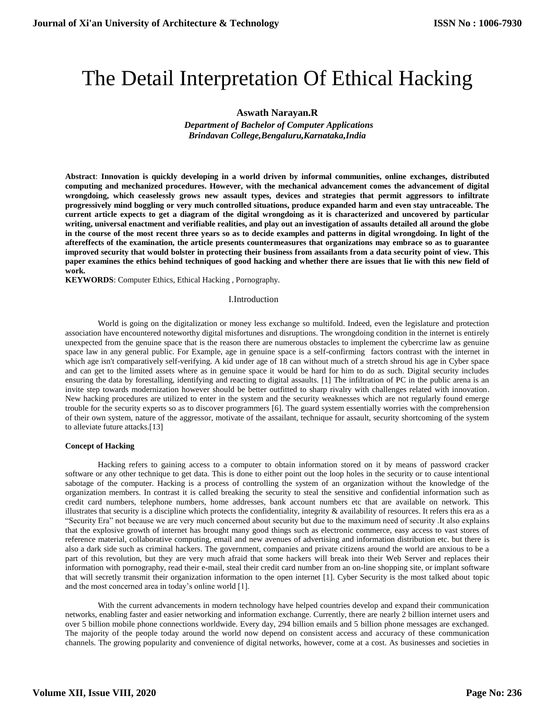# The Detail Interpretation Of Ethical Hacking

# **Aswath Narayan.R**

 *Department of Bachelor of Computer Applications Brindavan College,Bengaluru,Karnataka,India*

**Abstract**: **Innovation is quickly developing in a world driven by informal communities, online exchanges, distributed computing and mechanized procedures. However, with the mechanical advancement comes the advancement of digital wrongdoing, which ceaselessly grows new assault types, devices and strategies that permit aggressors to infiltrate progressively mind boggling or very much controlled situations, produce expanded harm and even stay untraceable. The current article expects to get a diagram of the digital wrongdoing as it is characterized and uncovered by particular writing, universal enactment and verifiable realities, and play out an investigation of assaults detailed all around the globe in the course of the most recent three years so as to decide examples and patterns in digital wrongdoing. In light of the aftereffects of the examination, the article presents countermeasures that organizations may embrace so as to guarantee improved security that would bolster in protecting their business from assailants from a data security point of view. This paper examines the ethics behind techniques of good hacking and whether there are issues that lie with this new field of work.**

**KEYWORDS**: Computer Ethics, Ethical Hacking , Pornography.

#### I.Introduction

World is going on the digitalization or money less exchange so multifold. Indeed, even the legislature and protection association have encountered noteworthy digital misfortunes and disruptions. The wrongdoing condition in the internet is entirely unexpected from the genuine space that is the reason there are numerous obstacles to implement the cybercrime law as genuine space law in any general public. For Example, age in genuine space is a self-confirming factors contrast with the internet in which age isn't comparatively self-verifying. A kid under age of 18 can without much of a stretch shroud his age in Cyber space and can get to the limited assets where as in genuine space it would be hard for him to do as such. Digital security includes ensuring the data by forestalling, identifying and reacting to digital assaults. [1] The infiltration of PC in the public arena is an invite step towards modernization however should be better outfitted to sharp rivalry with challenges related with innovation. New hacking procedures are utilized to enter in the system and the security weaknesses which are not regularly found emerge trouble for the security experts so as to discover programmers [6]. The guard system essentially worries with the comprehension of their own system, nature of the aggressor, motivate of the assailant, technique for assault, security shortcoming of the system to alleviate future attacks.[13]

#### **Concept of Hacking**

Hacking refers to gaining access to a computer to obtain information stored on it by means of password cracker software or any other technique to get data. This is done to either point out the loop holes in the security or to cause intentional sabotage of the computer. Hacking is a process of controlling the system of an organization without the knowledge of the organization members. In contrast it is called breaking the security to steal the sensitive and confidential information such as credit card numbers, telephone numbers, home addresses, bank account numbers etc that are available on network. This illustrates that security is a discipline which protects the confidentiality, integrity  $\&$  availability of resources. It refers this era as a "Security Era" not because we are very much concerned about security but due to the maximum need of security .It also explains that the explosive growth of internet has brought many good things such as electronic commerce, easy access to vast stores of reference material, collaborative computing, email and new avenues of advertising and information distribution etc. but there is also a dark side such as criminal hackers. The government, companies and private citizens around the world are anxious to be a part of this revolution, but they are very much afraid that some hackers will break into their Web Server and replaces their information with pornography, read their e-mail, steal their credit card number from an on-line shopping site, or implant software that will secretly transmit their organization information to the open internet [1]. Cyber Security is the most talked about topic and the most concerned area in today's online world [1].

With the current advancements in modern technology have helped countries develop and expand their communication networks, enabling faster and easier networking and information exchange. Currently, there are nearly 2 billion internet users and over 5 billion mobile phone connections worldwide. Every day, 294 billion emails and 5 billion phone messages are exchanged. The majority of the people today around the world now depend on consistent access and accuracy of these communication channels. The growing popularity and convenience of digital networks, however, come at a cost. As businesses and societies in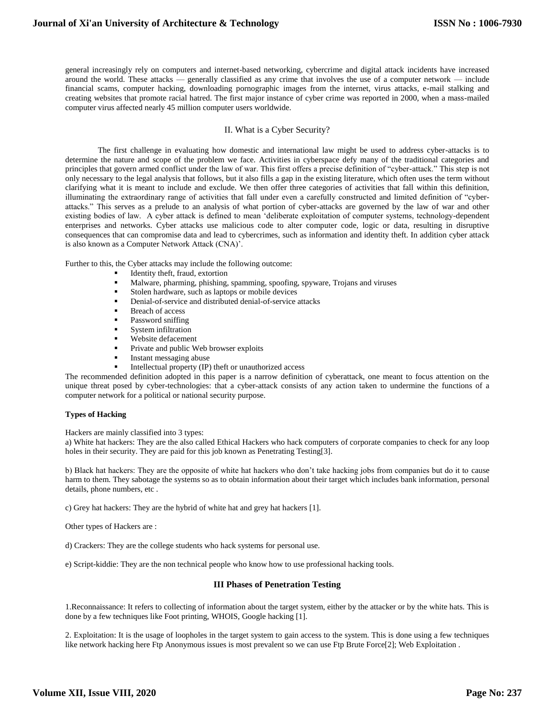general increasingly rely on computers and internet-based networking, cybercrime and digital attack incidents have increased around the world. These attacks — generally classified as any crime that involves the use of a computer network — include financial scams, computer hacking, downloading pornographic images from the internet, virus attacks, e-mail stalking and creating websites that promote racial hatred. The first major instance of cyber crime was reported in 2000, when a mass-mailed computer virus affected nearly 45 million computer users worldwide.

# II. What is a Cyber Security?

The first challenge in evaluating how domestic and international law might be used to address cyber-attacks is to determine the nature and scope of the problem we face. Activities in cyberspace defy many of the traditional categories and principles that govern armed conflict under the law of war. This first offers a precise definition of "cyber-attack." This step is not only necessary to the legal analysis that follows, but it also fills a gap in the existing literature, which often uses the term without clarifying what it is meant to include and exclude. We then offer three categories of activities that fall within this definition, illuminating the extraordinary range of activities that fall under even a carefully constructed and limited definition of "cyberattacks." This serves as a prelude to an analysis of what portion of cyber-attacks are governed by the law of war and other existing bodies of law. A cyber attack is defined to mean 'deliberate exploitation of computer systems, technology-dependent enterprises and networks. Cyber attacks use malicious code to alter computer code, logic or data, resulting in disruptive consequences that can compromise data and lead to cybercrimes, such as information and identity theft. In addition cyber attack is also known as a Computer Network Attack (CNA)'.

Further to this, the Cyber attacks may include the following outcome:

- Identity theft, fraud, extortion
- Malware, pharming, phishing, spamming, spoofing, spyware, Trojans and viruses
- Stolen hardware, such as laptops or mobile devices
- Denial-of-service and distributed denial-of-service attacks
- Breach of access
- Password sniffing
- System infiltration
- Website defacement
- Private and public Web browser exploits
- Instant messaging abuse
- Intellectual property (IP) theft or unauthorized access

The recommended definition adopted in this paper is a narrow definition of cyberattack, one meant to focus attention on the unique threat posed by cyber-technologies: that a cyber-attack consists of any action taken to undermine the functions of a computer network for a political or national security purpose.

#### **Types of Hacking**

Hackers are mainly classified into 3 types:

a) White hat hackers: They are the also called Ethical Hackers who hack computers of corporate companies to check for any loop holes in their security. They are paid for this job known as Penetrating Testing[3].

b) Black hat hackers: They are the opposite of white hat hackers who don't take hacking jobs from companies but do it to cause harm to them. They sabotage the systems so as to obtain information about their target which includes bank information, personal details, phone numbers, etc .

c) Grey hat hackers: They are the hybrid of white hat and grey hat hackers [1].

Other types of Hackers are :

d) Crackers: They are the college students who hack systems for personal use.

e) Script-kiddie: They are the non technical people who know how to use professional hacking tools.

### **III Phases of Penetration Testing**

1.Reconnaissance: It refers to collecting of information about the target system, either by the attacker or by the white hats. This is done by a few techniques like Foot printing, WHOIS, Google hacking [1].

2. Exploitation: It is the usage of loopholes in the target system to gain access to the system. This is done using a few techniques like network hacking here Ftp Anonymous issues is most prevalent so we can use Ftp Brute Force[2]; Web Exploitation .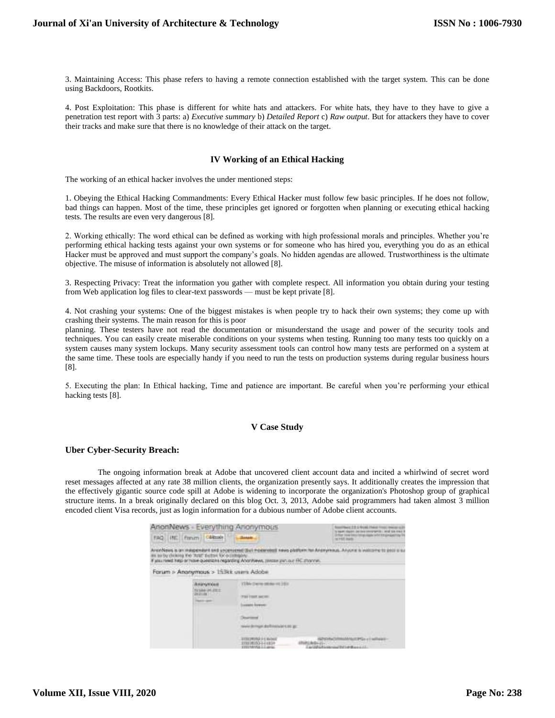3. Maintaining Access: This phase refers to having a remote connection established with the target system. This can be done using Backdoors, Rootkits.

4. Post Exploitation: This phase is different for white hats and attackers. For white hats, they have to they have to give a penetration test report with 3 parts: a) *Executive summary* b) *Detailed Report* c) *Raw output*. But for attackers they have to cover their tracks and make sure that there is no knowledge of their attack on the target.

# **IV Working of an Ethical Hacking**

The working of an ethical hacker involves the under mentioned steps:

1. Obeying the Ethical Hacking Commandments: Every Ethical Hacker must follow few basic principles. If he does not follow, bad things can happen. Most of the time, these principles get ignored or forgotten when planning or executing ethical hacking tests. The results are even very dangerous [8].

2. Working ethically: The word ethical can be defined as working with high professional morals and principles. Whether you're performing ethical hacking tests against your own systems or for someone who has hired you, everything you do as an ethical Hacker must be approved and must support the company's goals. No hidden agendas are allowed. Trustworthiness is the ultimate objective. The misuse of information is absolutely not allowed [8].

3. Respecting Privacy: Treat the information you gather with complete respect. All information you obtain during your testing from Web application log files to clear-text passwords — must be kept private [8].

4. Not crashing your systems: One of the biggest mistakes is when people try to hack their own systems; they come up with crashing their systems. The main reason for this is poor

planning. These testers have not read the documentation or misunderstand the usage and power of the security tools and techniques. You can easily create miserable conditions on your systems when testing. Running too many tests too quickly on a system causes many system lockups. Many security assessment tools can control how many tests are performed on a system at the same time. These tools are especially handy if you need to run the tests on production systems during regular business hours [8].

5. Executing the plan: In Ethical hacking, Time and patience are important. Be careful when you're performing your ethical hacking tests [8].

#### **V Case Study**

#### **Uber Cyber-Security Breach:**

The ongoing information break at Adobe that uncovered client account data and incited a whirlwind of secret word reset messages affected at any rate 38 million clients, the organization presently says. It additionally creates the impression that the effectively gigantic source code spill at Adobe is widening to incorporate the organization's Photoshop group of graphical structure items. In a break originally declared on this blog Oct. 3, 2013, Adobe said programmers had taken almost 3 million encoded client Visa records, just as login information for a dubious number of Adobe client accounts.

| AnonNews - Everything Anonymous |                                                                                                  |                                                                                                                                                                                                                                | lease 1:3 to Brital Photos Front Heatres a 2<br>a new discontribution construction and suspense                                                                     |  |
|---------------------------------|--------------------------------------------------------------------------------------------------|--------------------------------------------------------------------------------------------------------------------------------------------------------------------------------------------------------------------------------|---------------------------------------------------------------------------------------------------------------------------------------------------------------------|--|
| FAQ1                            | Calibrode<br><b>INC.</b> Franch                                                                  |                                                                                                                                                                                                                                | Schul Hawkins (Virginian Lick Ediphical)<br>NCHA Harb                                                                                                               |  |
|                                 | in so by dealed the 'Araf' person for a                                                          | Fansa riend help or house questions regarding AnonYews, researc part our FRI channel.<br><b>Control of Activity Control of Activity Control</b>                                                                                | WITTING COMPANY AND PROFIT WAS SERVED ON A<br>Anonyews is an insigendant and uncertened that repearable news platform for Anonymous. Anyone is watcome to past a to |  |
|                                 | Forum > Anonymous > 153ki; usars Adobe                                                           |                                                                                                                                                                                                                                |                                                                                                                                                                     |  |
|                                 | <b><i><u><i><u>ADVANDAR</u></i></u></i></b><br>TA MAIL DR. PICCE<br>調査情報について<br><b>CARD GREE</b> | 1594 (Ferm 1658) Ht 2011<br>Three County and the<br>Laught forest:<br>wividenspelare financial cast get<br><b>The Country of Street, Square of the Print</b><br>DOGL/RYROLD & Rochest<br>00000153-1-4839<br>EVERAGINA IL Lambo | <b>CENTIMERATION</b>                                                                                                                                                |  |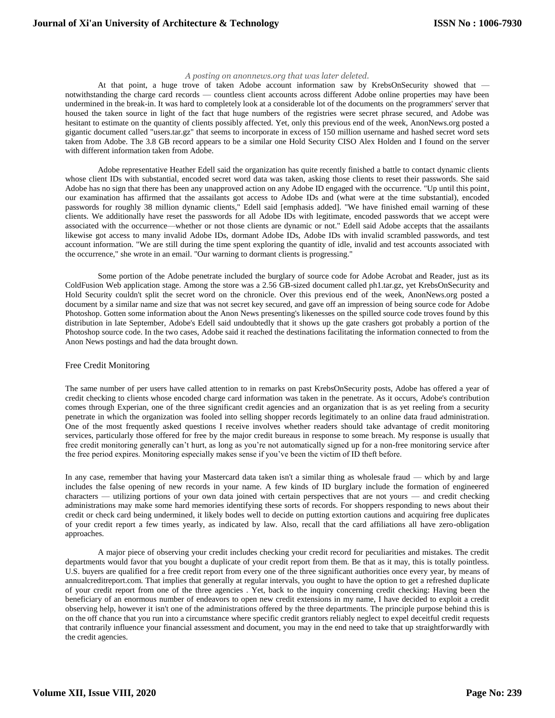#### *A posting on anonnews.org that was later deleted.*

At that point, a huge trove of taken Adobe account information saw by KrebsOnSecurity showed that notwithstanding the charge card records — countless client accounts across different Adobe online properties may have been undermined in the break-in. It was hard to completely look at a considerable lot of the documents on the programmers' server that housed the taken source in light of the fact that huge numbers of the registries were secret phrase secured, and Adobe was hesitant to estimate on the quantity of clients possibly affected. Yet, only this previous end of the week, AnonNews.org posted a gigantic document called "users.tar.gz" that seems to incorporate in excess of 150 million username and hashed secret word sets taken from Adobe. The 3.8 GB record appears to be a similar one Hold Security CISO Alex Holden and I found on the server with different information taken from Adobe.

Adobe representative Heather Edell said the organization has quite recently finished a battle to contact dynamic clients whose client IDs with substantial, encoded secret word data was taken, asking those clients to reset their passwords. She said Adobe has no sign that there has been any unapproved action on any Adobe ID engaged with the occurrence. "Up until this point, our examination has affirmed that the assailants got access to Adobe IDs and (what were at the time substantial), encoded passwords for roughly 38 million dynamic clients," Edell said [emphasis added]. "We have finished email warning of these clients. We additionally have reset the passwords for all Adobe IDs with legitimate, encoded passwords that we accept were associated with the occurrence—whether or not those clients are dynamic or not." Edell said Adobe accepts that the assailants likewise got access to many invalid Adobe IDs, dormant Adobe IDs, Adobe IDs with invalid scrambled passwords, and test account information. "We are still during the time spent exploring the quantity of idle, invalid and test accounts associated with the occurrence," she wrote in an email. "Our warning to dormant clients is progressing."

Some portion of the Adobe penetrate included the burglary of source code for Adobe Acrobat and Reader, just as its ColdFusion Web application stage. Among the store was a 2.56 GB-sized document called ph1.tar.gz, yet KrebsOnSecurity and Hold Security couldn't split the secret word on the chronicle. Over this previous end of the week, AnonNews.org posted a document by a similar name and size that was not secret key secured, and gave off an impression of being source code for Adobe Photoshop. Gotten some information about the Anon News presenting's likenesses on the spilled source code troves found by this distribution in late September, Adobe's Edell said undoubtedly that it shows up the gate crashers got probably a portion of the Photoshop source code. In the two cases, Adobe said it reached the destinations facilitating the information connected to from the Anon News postings and had the data brought down.

#### Free Credit Monitoring

The same number of per users have called attention to in remarks on past KrebsOnSecurity posts, Adobe has offered a year of credit checking to clients whose encoded charge card information was taken in the penetrate. As it occurs, Adobe's contribution comes through Experian, one of the three significant credit agencies and an organization that is as yet reeling from a security penetrate in which the organization was fooled into selling shopper records legitimately to an online data fraud administration. One of the most frequently asked questions I receive involves whether readers should take advantage of credit monitoring services, particularly those offered for free by the major credit bureaus in response to some breach. My response is usually that free credit monitoring generally can't hurt, as long as you're not automatically signed up for a non-free monitoring service after the free period expires. Monitoring especially makes sense if you've been the victim of ID theft before.

In any case, remember that having your Mastercard data taken isn't a similar thing as wholesale fraud — which by and large includes the false opening of new records in your name. A few kinds of ID burglary include the formation of engineered characters — utilizing portions of your own data joined with certain perspectives that are not yours — and credit checking administrations may make some hard memories identifying these sorts of records. For shoppers responding to news about their credit or check card being undermined, it likely bodes well to decide on putting extortion cautions and acquiring free duplicates of your credit report a few times yearly, as indicated by law. Also, recall that the card affiliations all have zero-obligation approaches.

A major piece of observing your credit includes checking your credit record for peculiarities and mistakes. The credit departments would favor that you bought a duplicate of your credit report from them. Be that as it may, this is totally pointless. U.S. buyers are qualified for a free credit report from every one of the three significant authorities once every year, by means of annualcreditreport.com. That implies that generally at regular intervals, you ought to have the option to get a refreshed duplicate of your credit report from one of the three agencies . Yet, back to the inquiry concerning credit checking: Having been the beneficiary of an enormous number of endeavors to open new credit extensions in my name, I have decided to exploit a credit observing help, however it isn't one of the administrations offered by the three departments. The principle purpose behind this is on the off chance that you run into a circumstance where specific credit grantors reliably neglect to expel deceitful credit requests that contrarily influence your financial assessment and document, you may in the end need to take that up straightforwardly with the credit agencies.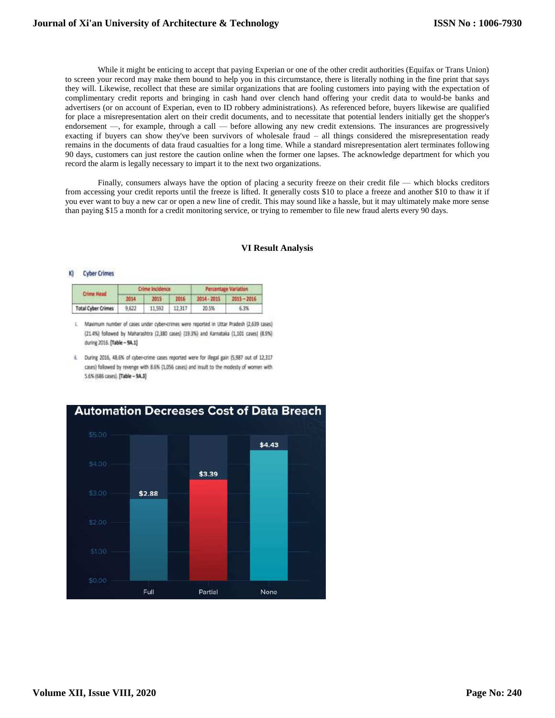While it might be enticing to accept that paying Experian or one of the other credit authorities (Equifax or Trans Union) to screen your record may make them bound to help you in this circumstance, there is literally nothing in the fine print that says they will. Likewise, recollect that these are similar organizations that are fooling customers into paying with the expectation of complimentary credit reports and bringing in cash hand over clench hand offering your credit data to would-be banks and advertisers (or on account of Experian, even to ID robbery administrations). As referenced before, buyers likewise are qualified for place a misrepresentation alert on their credit documents, and to necessitate that potential lenders initially get the shopper's endorsement —, for example, through a call — before allowing any new credit extensions. The insurances are progressively exacting if buyers can show they've been survivors of wholesale fraud – all things considered the misrepresentation ready remains in the documents of data fraud casualties for a long time. While a standard misrepresentation alert terminates following 90 days, customers can just restore the caution online when the former one lapses. The acknowledge department for which you record the alarm is legally necessary to impart it to the next two organizations.

Finally, consumers always have the option of placing a [security](http://en.wikipedia.org/wiki/Credit_freeze) freeze on their credit file — which blocks creditors from accessing your credit reports until the freeze is lifted. It generally costs \$10 to place a freeze and another \$10 to thaw it if you ever want to buy a new car or open a new line of credit. This may sound like a hassle, but it may ultimately make more sense than paying \$15 a month for a credit monitoring service, or trying to remember to file new fraud alerts every 90 days.

# **VI Result Analysis**

#### **Cyber Crimes** K

| Crime Head                | <b>Crime Incidence</b> |        |        | Percentage Variation |               |
|---------------------------|------------------------|--------|--------|----------------------|---------------|
|                           | 2014                   | 2015   | 2015   | 2014 - 2015          | $2015 - 2016$ |
| <b>Total Cyber Crimes</b> | 9.622                  | 11,592 | 12.317 | 20.5%                | 6.3%          |

i. Maximum number of cases under cyber-crimes were reported in Uttar Pradesh (2,639 cases) (21.4%) followed by Maharashtra (2,380 cases) (19.3%) and Karnataka (1,101 cases) (8.9%) during 2016. [Table - 9A.1]

ii. During 2016, 48.6% of cyber-crime cases reported were for illegal gain (5,987 out of 12,317 cases) followed by revenge with 8.6% (1,056 cases) and insult to the modesty of women with 5.6% (686 cases). [Table - 9A.3]

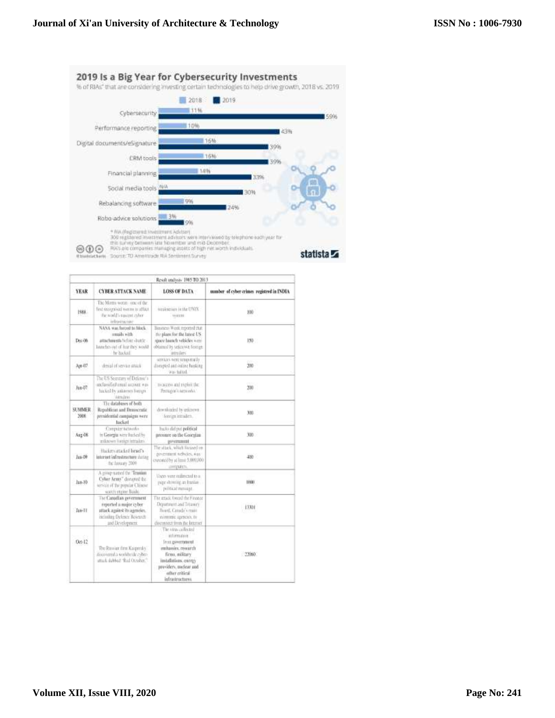

|               | Result analysis 1985 TO 2013                                                                                                    |                                                                                                                                                                                     |                                           |  |  |  |
|---------------|---------------------------------------------------------------------------------------------------------------------------------|-------------------------------------------------------------------------------------------------------------------------------------------------------------------------------------|-------------------------------------------|--|--|--|
| YEAR          | <b>CYBER ATTACK NAME:</b>                                                                                                       | LOSS OF DATA                                                                                                                                                                        | number of cyber crimes registred in INDIA |  |  |  |
| 1988.         | The Morms worst i uncut the<br>first recognisal numer to affect.<br>the world's a meter symme<br>infrastracione                 | weaknesses in the UNIX.<br>MHEH                                                                                                                                                     | 100                                       |  |  |  |
| $Dec-00$      | NASA was farced to block<br>muils with<br>attachments helone shattle -<br>larably out of for this world<br>be haded.            | Basecus West reported that<br>the plaint for the latest US.<br>space bounds vehicles were<br>oblained by selenown fininger<br>introduct.                                            | $150 -$                                   |  |  |  |
| $A_0w-177$    | denial of service stark.                                                                                                        | services were tennontally<br>disrepted and online herking.<br>was habed.                                                                                                            | 330                                       |  |  |  |
| Jun-07        | The US Secretary of Defense's<br>anclassified amuil aucuser was<br>his Lol by antaron forcan-<br><b>Hernderei</b>               | maccess and exploit the<br>Pentagon's nerworks.                                                                                                                                     | 200                                       |  |  |  |
| 计对矩状<br>2006  | The databases of hoth<br>Republican and Democratic<br>presidential compaigns were<br>Inickert                                   | downloaded by grapping.<br>foreign intraders.                                                                                                                                       | 300                                       |  |  |  |
| A12.68        | Computer tictworks<br>in Georgia were backed by<br>asknown foreign intraders.                                                   | backs did put political<br>pressure on the Georgian<br>government                                                                                                                   | 300                                       |  |  |  |
| $J_{23} - 29$ | History attacked band's<br>laterist lefrestructure duting<br>the Leasury 2009                                                   | The stack, which fix and in-<br>government websies, was<br>connectly at least 5,000,000<br>arrigation.                                                                              | $400 -$                                   |  |  |  |
| 118.30        | A group susted the "Transan<br>Cylier Arms" derupted the<br>service of the popular Chinese.<br>watch varine Bash.               | liten were reilmetal to a<br>page showing an Institute<br>pillical mosage                                                                                                           | <b>HOLL</b>                               |  |  |  |
| $146-11$      | The Canadian gevernment<br>reported a major cyber.<br>stlack against its agmeier.<br>neissing Delmer Royanth<br>and Development | The gradi: forced the Finnecc<br>Department and Treasury<br>Hurd, Catady's main<br>commit agencies, to<br>discussion from the Internet                                              | 1333                                      |  |  |  |
| Oct-12        | The Rassian firm Karpendy<br>discovered a worldwide cyber-<br>attack skilds of "Red October."                                   | The viras collected<br>edurazione<br>Trent games and<br>mitassies, research.<br>firm, military<br>intalistiers.comp<br>providers, nuclear and<br>other critical<br>infrastructures. | $-23060$                                  |  |  |  |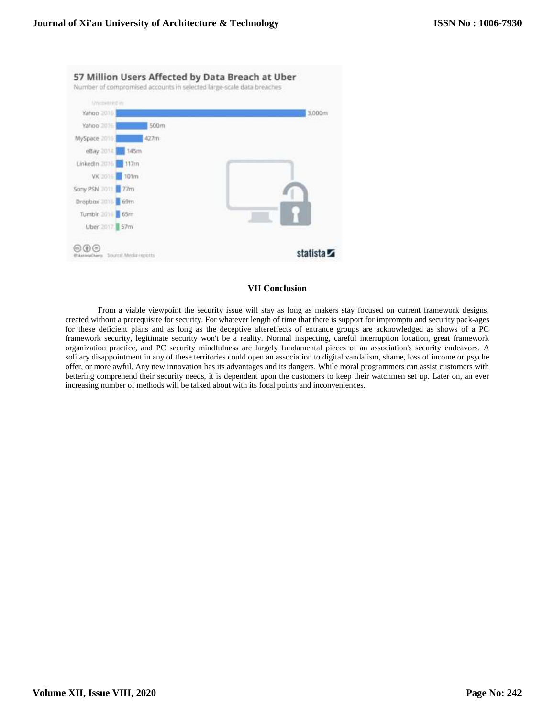| Attempting in      |      |        |
|--------------------|------|--------|
| Yahoo 2016         |      | 3,000m |
| Yahoo 301-         | 500m |        |
| MySpace 2016       | 427m |        |
| eBay 014           | 145m |        |
| Linkedin 2016 117m |      |        |
| VK 2016 101m       |      |        |
| Sony PSN 011 77m   |      |        |
| Dropbax 2016 69m   |      |        |
| Tumble 2010 65m    |      |        |
| Uber 2017 57m      |      |        |

# **VII Conclusion**

From a viable viewpoint the security issue will stay as long as makers stay focused on current framework designs, created without a prerequisite for security. For whatever length of time that there is support for impromptu and security pack-ages for these deficient plans and as long as the deceptive aftereffects of entrance groups are acknowledged as shows of a PC framework security, legitimate security won't be a reality. Normal inspecting, careful interruption location, great framework organization practice, and PC security mindfulness are largely fundamental pieces of an association's security endeavors. A solitary disappointment in any of these territories could open an association to digital vandalism, shame, loss of income or psyche offer, or more awful. Any new innovation has its advantages and its dangers. While moral programmers can assist customers with bettering comprehend their security needs, it is dependent upon the customers to keep their watchmen set up. Later on, an ever increasing number of methods will be talked about with its focal points and inconveniences.